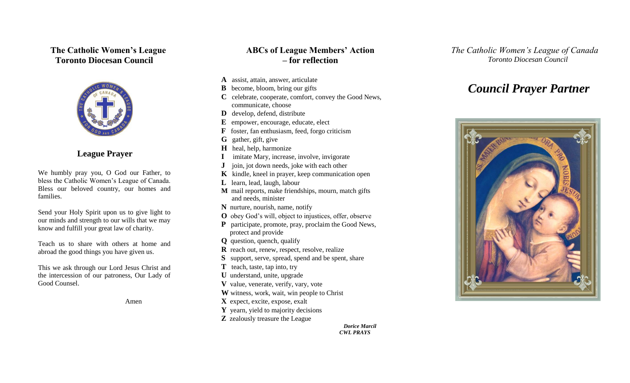## **The Catholic Women's League Toronto Diocesan Council**



## **League Prayer**

We humbly pray you, O God our Father, to bless the Catholic Women's League of Canada. Bless our beloved country, our homes and families.

Send your Holy Spirit upon us to give light to our minds and strength to our wills that we may know and fulfill your great law of charity.

Teach us to share with others at home and abroad the good things you have given us.

This we ask through our Lord Jesus Christ and the intercession of our patroness, Our Lady of Good Counsel.

Amen

# **ABCs of League Members' Action – for reflection**

- **A** assist, attain, answer, articulate
- **B** become, bloom, bring our gifts
- **C** celebrate, cooperate, comfort, convey the Good News, communicate, choose
- **D** develop, defend, distribute
- **E** empower, encourage, educate, elect
- **F** foster, fan enthusiasm, feed, forgo criticism
- **G** gather, gift, give
- **H** heal, help, harmonize
- **I** imitate Mary, increase, involve, invigorate
- **J** join, jot down needs, joke with each other
- **K** kindle, kneel in prayer, keep communication open
- **L** learn, lead, laugh, labour
- **M** mail reports, make friendships, mourn, match gifts and needs, minister
- **N** nurture, nourish, name, notify
- **O** obey God's will, object to injustices, offer, observe
- **P** participate, promote, pray, proclaim the Good News, protect and provide
- **Q** question, quench, qualify
- **R** reach out, renew, respect, resolve, realize
- **S** support, serve, spread, spend and be spent, share
- **T** teach, taste, tap into, try
- **U** understand, unite, upgrade
- **V** value, venerate, verify, vary, vote
- **W** witness, work, wait, win people to Christ
- **X** expect, excite, expose, exalt
- **Y** yearn, yield to majority decisions
- **Z** zealously treasure the League

 *Dorice Marcil CWL PRAYS*

 *The Catholic Women's League of Canada Toronto Diocesan Council*

# *Council Prayer Partner*